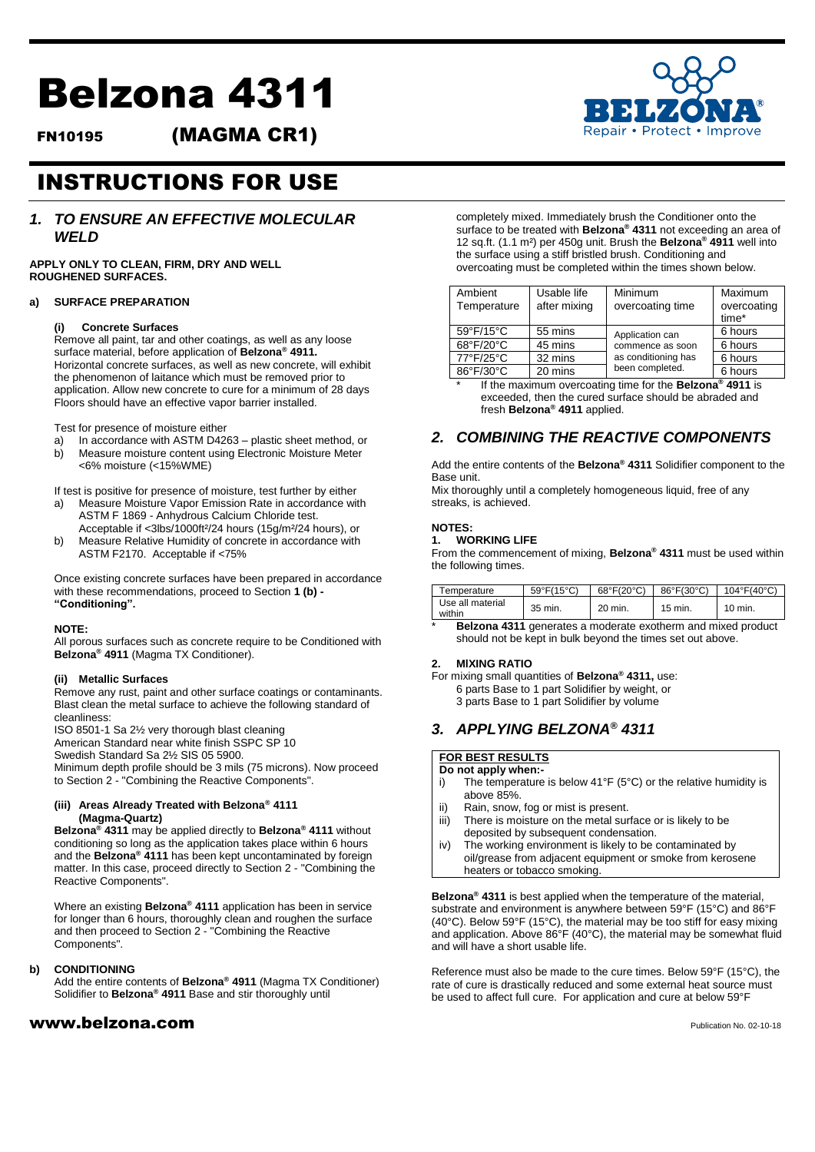# Belzona 4311

FN10195 (MAGMA CR1)



## INSTRUCTIONS FOR USE

## *1. TO ENSURE AN EFFECTIVE MOLECULAR WELD*

**APPLY ONLY TO CLEAN, FIRM, DRY AND WELL ROUGHENED SURFACES.**

## **a) SURFACE PREPARATION**

## **(i) Concrete Surfaces**

Remove all paint, tar and other coatings, as well as any loose surface material, before application of **Belzona® 4911.** Horizontal concrete surfaces, as well as new concrete, will exhibit the phenomenon of laitance which must be removed prior to application. Allow new concrete to cure for a minimum of 28 days Floors should have an effective vapor barrier installed.

Test for presence of moisture either

- a) In accordance with ASTM D4263 plastic sheet method, or
- b) Measure moisture content using Electronic Moisture Meter <6% moisture (<15%WME)

If test is positive for presence of moisture, test further by either

- a) Measure Moisture Vapor Emission Rate in accordance with ASTM F 1869 - Anhydrous Calcium Chloride test.
- Acceptable if <3lbs/1000ft²/24 hours (15g/m²/24 hours), or b) Measure Relative Humidity of concrete in accordance with ASTM F2170. Acceptable if <75%

Once existing concrete surfaces have been prepared in accordance with these recommendations, proceed to Section **1 (b) - "Conditioning".**

#### **NOTE:**

All porous surfaces such as concrete require to be Conditioned with **Belzona® 4911** (Magma TX Conditioner).

#### **(ii) Metallic Surfaces**

Remove any rust, paint and other surface coatings or contaminants. Blast clean the metal surface to achieve the following standard of cleanliness:

ISO 8501-1 Sa 2½ very thorough blast cleaning

American Standard near white finish SSPC SP 10

Swedish Standard Sa 2½ SIS 05 5900.

Minimum depth profile should be 3 mils (75 microns). Now proceed to Section 2 - "Combining the Reactive Components".

#### **(iii) Areas Already Treated with Belzona® 4111 (Magma-Quartz)**

**Belzona® 4311** may be applied directly to **Belzona® 4111** without conditioning so long as the application takes place within 6 hours and the **Belzona® 4111** has been kept uncontaminated by foreign matter. In this case, proceed directly to Section 2 - "Combining the Reactive Components".

Where an existing **Belzona® 4111** application has been in service for longer than 6 hours, thoroughly clean and roughen the surface and then proceed to Section 2 - "Combining the Reactive Components".

#### **b) CONDITIONING**

Add the entire contents of **Belzona® 4911** (Magma TX Conditioner) Solidifier to **Belzona® 4911** Base and stir thoroughly until

## $www.beIzona.com$

completely mixed. Immediately brush the Conditioner onto the surface to be treated with **Belzona® 4311** not exceeding an area of 12 sq.ft. (1.1 m²) per 450g unit. Brush the **Belzona® 4911** well into the surface using a stiff bristled brush. Conditioning and overcoating must be completed within the times shown below.

| Ambient<br>Temperature | Usable life<br>after mixing | Minimum<br>overcoating time                                                   | Maximum<br>overcoating<br>time* |
|------------------------|-----------------------------|-------------------------------------------------------------------------------|---------------------------------|
| 59°F/15°C              | 55 mins                     | Application can<br>commence as soon<br>as conditioning has<br>been completed. | 6 hours                         |
| 68°F/20°C              | 45 mins                     |                                                                               | 6 hours                         |
| 77°F/25°C              | 32 mins                     |                                                                               | 6 hours                         |
| 86°F/30°C              | 20 mins                     |                                                                               | 6 hours                         |

\* If the maximum overcoating time for the **Belzona® 4911** is exceeded, then the cured surface should be abraded and fresh **Belzona® 4911** applied.

## *2. COMBINING THE REACTIVE COMPONENTS*

Add the entire contents of the **Belzona® 4311** Solidifier component to the Base unit.

Mix thoroughly until a completely homogeneous liquid, free of any streaks, is achieved.

## **NOTES:**

## **1. WORKING LlFE**

From the commencement of mixing, **Belzona® 4311** must be used within the following times.

| emperature                 | $59^{\circ}F(15^{\circ}C)$ | $68^{\circ}F(20^{\circ}C)$ | 86°F(30°C) | $104^{\circ}F(40^{\circ}C)$ |
|----------------------------|----------------------------|----------------------------|------------|-----------------------------|
| Use all material<br>within | 35 min.                    | 20 min.                    | 15 min.    | 10 min.                     |

**Belzona 4311** generates a moderate exotherm and mixed product should not be kept in bulk beyond the times set out above.

### **2. MlXING RATIO**

For mixing small quantities of **Belzona® 4311,** use: 6 parts Base to 1 part Solidifier by weight, or 3 parts Base to 1 part Solidifier by volume

## *3. APPLYING BELZONA® 4311*

## **FOR BEST RESULTS**

## **Do not apply when:-**

- i) The temperature is below 41°F (5°C) or the relative humidity is above 85%.
- ii) Rain, snow, fog or mist is present.
- iii) There is moisture on the metal surface or is likely to be deposited by subsequent condensation.
- iv) The working environment is likely to be contaminated by oil/grease from adjacent equipment or smoke from kerosene heaters or tobacco smoking.

**Belzona® 4311** is best applied when the temperature of the material, substrate and environment is anywhere between 59°F (15°C) and 86°F (40°C). Below 59°F (15°C), the material may be too stiff for easy mixing and application. Above 86°F (40°C), the material may be somewhat fluid and will have a short usable life.

Reference must also be made to the cure times. Below 59°F (15°C), the rate of cure is drastically reduced and some external heat source must be used to affect full cure. For application and cure at below 59°F